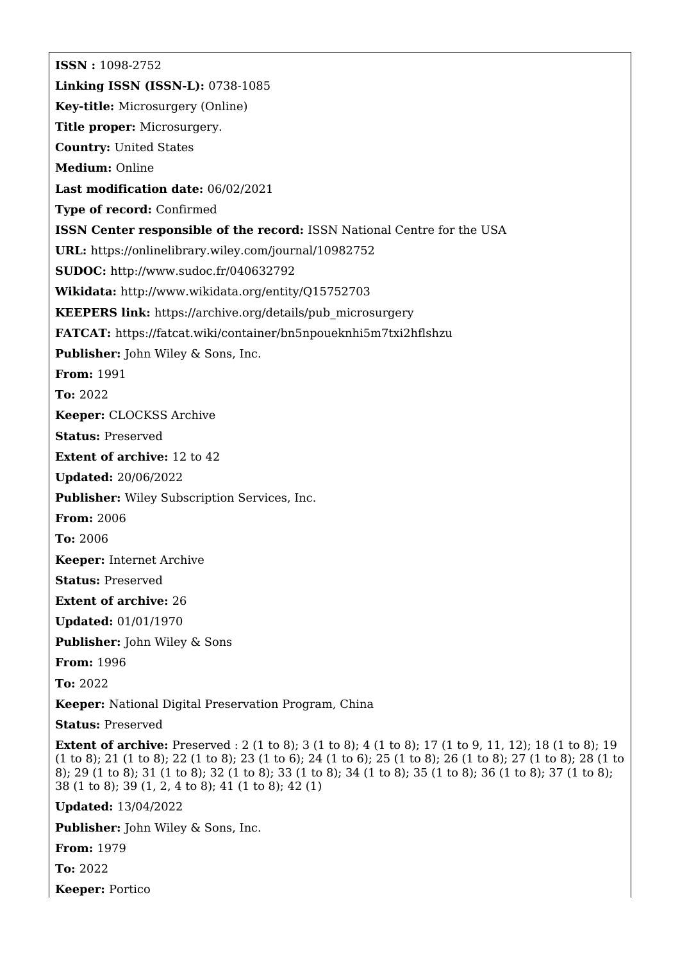**ISSN :** 1098-2752 **Linking ISSN (ISSN-L):** 0738-1085 **Key-title:** Microsurgery (Online) **Title proper:** Microsurgery. **Country:** United States **Medium:** Online **Last modification date:** 06/02/2021 **Type of record:** Confirmed **ISSN Center responsible of the record:** ISSN National Centre for the USA **URL:** <https://onlinelibrary.wiley.com/journal/10982752> **SUDOC:** <http://www.sudoc.fr/040632792> **Wikidata:** <http://www.wikidata.org/entity/Q15752703> **KEEPERS link:** [https://archive.org/details/pub\\_microsurgery](https://archive.org/details/pub_microsurgery) **FATCAT:** <https://fatcat.wiki/container/bn5npoueknhi5m7txi2hflshzu> **Publisher:** John Wiley & Sons, Inc. **From:** 1991 **To:** 2022 **Keeper:** CLOCKSS Archive **Status:** Preserved **Extent of archive:** 12 to 42 **Updated:** 20/06/2022 **Publisher:** Wiley Subscription Services, Inc. **From:** 2006 **To:** 2006 **Keeper:** Internet Archive **Status:** Preserved **Extent of archive:** 26 **Updated:** 01/01/1970 **Publisher:** John Wiley & Sons **From:** 1996 **To:** 2022 **Keeper:** National Digital Preservation Program, China **Status:** Preserved **Extent of archive:** Preserved : 2 (1 to 8); 3 (1 to 8); 4 (1 to 8); 17 (1 to 9, 11, 12); 18 (1 to 8); 19 (1 to 8); 21 (1 to 8); 22 (1 to 8); 23 (1 to 6); 24 (1 to 6); 25 (1 to 8); 26 (1 to 8); 27 (1 to 8); 28 (1 to 8); 29 (1 to 8); 31 (1 to 8); 32 (1 to 8); 33 (1 to 8); 34 (1 to 8); 35 (1 to 8); 36 (1 to 8); 37 (1 to 8); 38 (1 to 8); 39 (1, 2, 4 to 8); 41 (1 to 8); 42 (1) **Updated:** 13/04/2022

**Publisher:** John Wiley & Sons, Inc.

**From:** 1979

**To:** 2022

**Keeper:** Portico